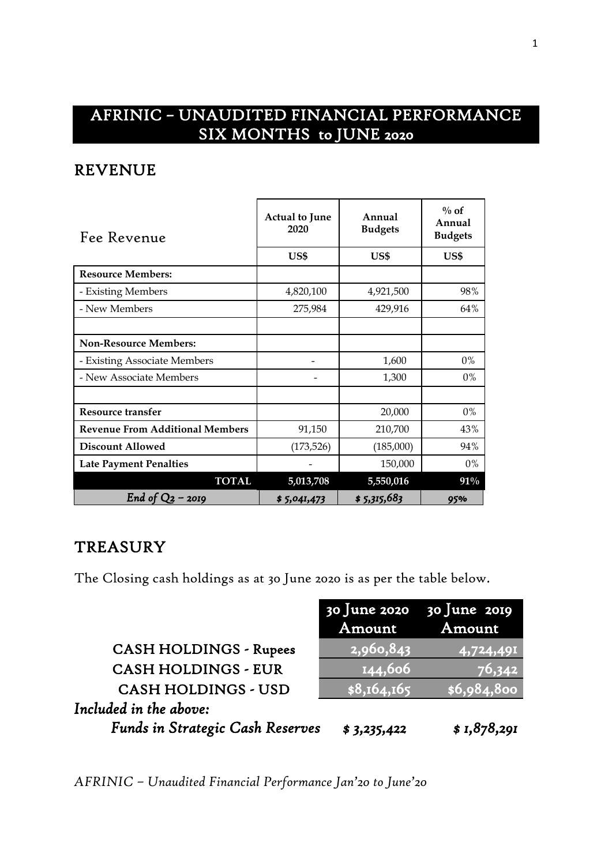# AFRINIC – UNAUDITED FINANCIAL PERFORMANCE SIX MONTHS to JUNE 2020

### REVENUE

| Fee Revenue                            | <b>Actual to June</b><br>2020 | Annual<br><b>Budgets</b> | $\%$ of<br>Annual<br><b>Budgets</b> |  |
|----------------------------------------|-------------------------------|--------------------------|-------------------------------------|--|
|                                        | US\$                          | US\$                     | US\$                                |  |
| <b>Resource Members:</b>               |                               |                          |                                     |  |
| - Existing Members                     | 4,820,100                     | 4,921,500                | 98%                                 |  |
| - New Members                          | 275,984                       | 429,916                  | 64%                                 |  |
|                                        |                               |                          |                                     |  |
| <b>Non-Resource Members:</b>           |                               |                          |                                     |  |
| - Existing Associate Members           |                               | 1,600                    | 0%                                  |  |
| - New Associate Members                |                               | 1,300                    | $0\%$                               |  |
|                                        |                               |                          |                                     |  |
| <b>Resource transfer</b>               |                               | 20,000                   | $0\%$                               |  |
| <b>Revenue From Additional Members</b> | 91,150                        | 210,700                  | 43%                                 |  |
| <b>Discount Allowed</b>                | (173, 526)                    | (185,000)                | 94%                                 |  |
| <b>Late Payment Penalties</b>          |                               | 150,000                  | $0\%$                               |  |
| <b>TOTAL</b>                           | 5,013,708                     | 5,550,016                | 91%                                 |  |
| End of $Q_2$ – 2019                    | \$5,041,473                   | \$5,315,683              | 95%                                 |  |

## **TREASURY**

The Closing cash holdings as at 30 June 2020 is as per the table below.

|                                  |             | $30$ June 2020 $30$ June 2019 |
|----------------------------------|-------------|-------------------------------|
|                                  | Amount      | Amount                        |
| <b>CASH HOLDINGS - Rupees</b>    | 2,960,843   | 4,724,491                     |
| <b>CASH HOLDINGS - EUR</b>       | 144,606     | 76,342                        |
| <b>CASH HOLDINGS - USD</b>       | \$8,164,165 | \$6,984,800                   |
| Included in the above:           |             |                               |
| Funds in Strategic Cash Reserves | \$3,235,422 | \$1,878,291                   |

*AFRINIC – Unaudited Financial Performance Jan'20 to June'20*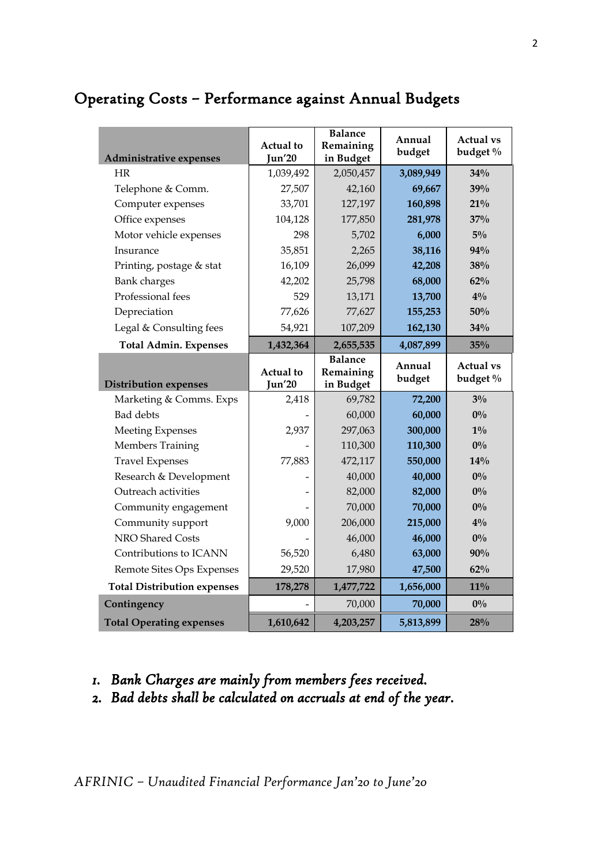# Operating Costs – Performance against Annual Budgets

| <b>Administrative expenses</b>        | Actual to<br>Jun'20 | <b>Balance</b><br>Remaining<br>in Budget | Annual<br>budget  | <b>Actual vs</b><br>budget % |
|---------------------------------------|---------------------|------------------------------------------|-------------------|------------------------------|
| HR                                    | 1,039,492           | 2,050,457                                | 3,089,949         | $34\%$                       |
| Telephone & Comm.                     | 27,507              | 42,160                                   | 69,667            | 39%                          |
| Computer expenses                     | 33,701              | 127,197                                  | 160,898           | 21%                          |
| Office expenses                       | 104,128             | 177,850                                  | 281,978           | 37%                          |
| Motor vehicle expenses                | 298                 | 5,702                                    | 6,000             | $5\%$                        |
| Insurance                             | 35,851              | 2,265                                    | 38,116            | 94%                          |
| Printing, postage & stat              | 16,109              | 26,099                                   | 42,208            | 38%                          |
| Bank charges                          | 42,202              | 25,798                                   | 68,000            | 62%                          |
| Professional fees                     | 529                 | 13,171                                   | 13,700            | $4\%$                        |
| Depreciation                          | 77,626              | 77,627                                   | 155,253           | 50%                          |
| Legal & Consulting fees               | 54,921              | 107,209                                  | 162,130           | 34%                          |
| <b>Total Admin. Expenses</b>          | 1,432,364           | 2,655,535                                | 4,087,899         | 35%                          |
|                                       | <b>Actual</b> to    | <b>Balance</b><br>Remaining              | Annual<br>budget  | <b>Actual vs</b><br>budget % |
|                                       |                     |                                          |                   |                              |
| <b>Distribution expenses</b>          | <b>Jun'20</b>       | in Budget                                |                   |                              |
| Marketing & Comms. Exps               | 2,418               | 69,782                                   | 72,200            | $3\%$                        |
| <b>Bad</b> debts                      |                     | 60,000                                   | 60,000            | $0\%$                        |
| <b>Meeting Expenses</b>               | 2,937               | 297,063                                  | 300,000           | $1\%$                        |
| <b>Members Training</b>               |                     | 110,300                                  | 110,300           | $0\%$                        |
| <b>Travel Expenses</b>                | 77,883              | 472,117                                  | 550,000           | 14%                          |
| Research & Development                |                     | 40,000                                   | 40,000            | $0\%$                        |
| Outreach activities                   |                     | 82,000                                   | 82,000            | $0\%$                        |
| Community engagement                  |                     | 70,000                                   | 70,000            | $0\%$<br>$4\%$               |
| Community support<br>NRO Shared Costs | 9,000               | 206,000<br>46,000                        | 215,000<br>46,000 | $0\%$                        |
| Contributions to ICANN                | 56,520              | 6,480                                    | 63,000            | 90%                          |
| Remote Sites Ops Expenses             | 29,520              | 17,980                                   | 47,500            | 62%                          |
| <b>Total Distribution expenses</b>    | 178,278             | 1,477,722                                | 1,656,000         | $11\%$                       |
| Contingency                           |                     | 70,000                                   | 70,000            | $0\%$                        |

#### *1. Bank Charges are mainly from members fees received.*

*2. Bad debts shall be calculated on accruals at end of the year.*